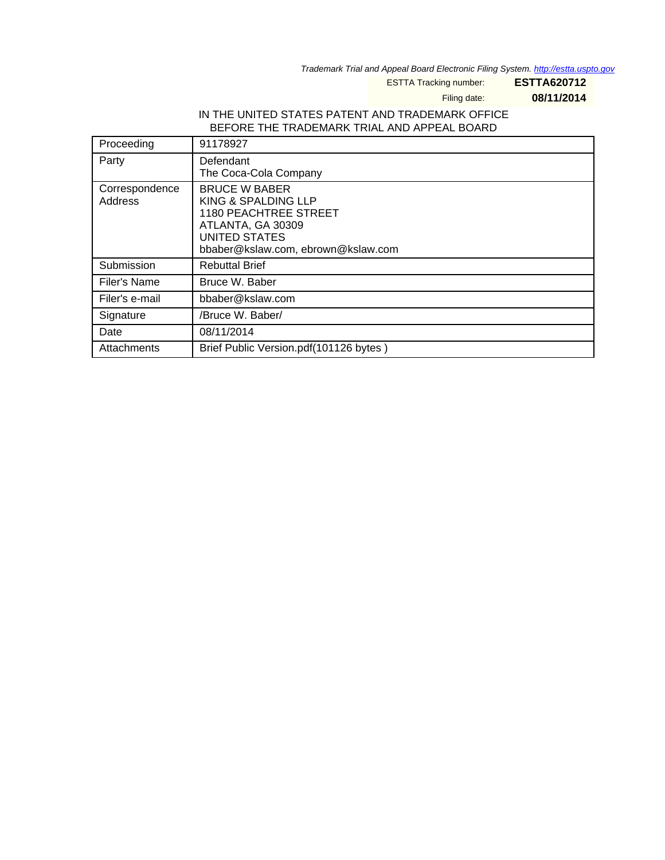Trademark Trial and Appeal Board Electronic Filing System. <http://estta.uspto.gov>

ESTTA Tracking number: **ESTTA620712**

Filing date: **08/11/2014**

#### IN THE UNITED STATES PATENT AND TRADEMARK OFFICE BEFORE THE TRADEMARK TRIAL AND APPEAL BOARD

| Proceeding                | 91178927                                                                                                                                         |
|---------------------------|--------------------------------------------------------------------------------------------------------------------------------------------------|
| Party                     | Defendant<br>The Coca-Cola Company                                                                                                               |
| Correspondence<br>Address | <b>BRUCE W BABER</b><br>KING & SPALDING LLP<br>1180 PEACHTREE STREET<br>ATLANTA, GA 30309<br>UNITED STATES<br>bbaber@kslaw.com, ebrown@kslaw.com |
| Submission                | <b>Rebuttal Brief</b>                                                                                                                            |
| Filer's Name              | Bruce W. Baber                                                                                                                                   |
| Filer's e-mail            | bbaber@kslaw.com                                                                                                                                 |
| Signature                 | /Bruce W. Baber/                                                                                                                                 |
| Date                      | 08/11/2014                                                                                                                                       |
| Attachments               | Brief Public Version.pdf(101126 bytes)                                                                                                           |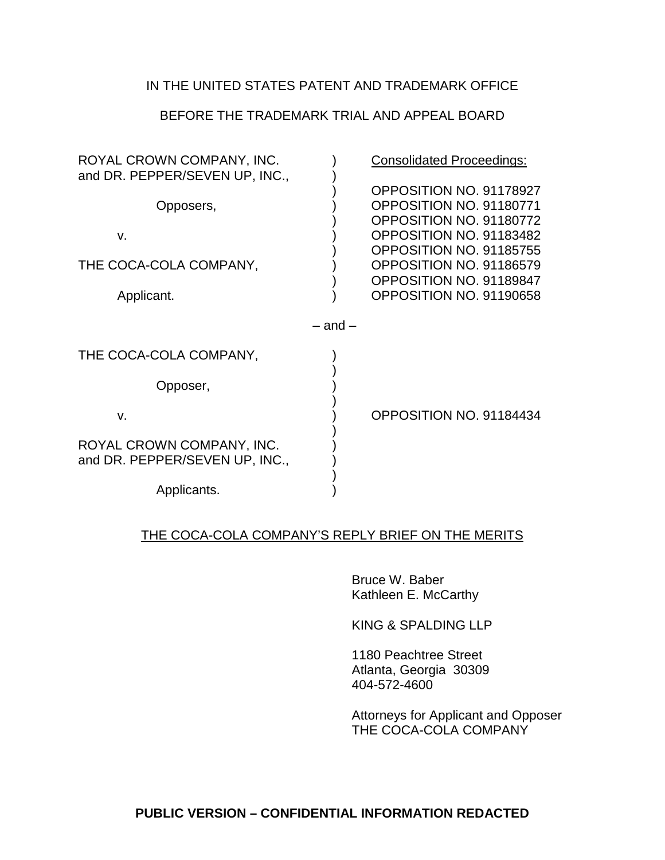## IN THE UNITED STATES PATENT AND TRADEMARK OFFICE

## BEFORE THE TRADEMARK TRIAL AND APPEAL BOARD

| ROYAL CROWN COMPANY, INC.<br>and DR. PEPPER/SEVEN UP, INC., |             | <b>Consolidated Proceedings:</b>                                                                                                                                                                                     |
|-------------------------------------------------------------|-------------|----------------------------------------------------------------------------------------------------------------------------------------------------------------------------------------------------------------------|
| Opposers,<br>V.<br>THE COCA-COLA COMPANY,<br>Applicant.     |             | OPPOSITION NO. 91178927<br>OPPOSITION NO. 91180771<br>OPPOSITION NO. 91180772<br>OPPOSITION NO. 91183482<br>OPPOSITION NO. 91185755<br>OPPOSITION NO. 91186579<br>OPPOSITION NO. 91189847<br>OPPOSITION NO. 91190658 |
|                                                             | $-$ and $-$ |                                                                                                                                                                                                                      |
| THE COCA-COLA COMPANY,                                      |             |                                                                                                                                                                                                                      |
| Opposer,                                                    |             |                                                                                                                                                                                                                      |
| V.                                                          |             | OPPOSITION NO. 91184434                                                                                                                                                                                              |
| ROYAL CROWN COMPANY, INC.<br>and DR. PEPPER/SEVEN UP, INC., |             |                                                                                                                                                                                                                      |
| Applicants.                                                 |             |                                                                                                                                                                                                                      |

## THE COCA-COLA COMPANY'S REPLY BRIEF ON THE MERITS

Bruce W. Baber Kathleen E. McCarthy

KING & SPALDING LLP

1180 Peachtree Street Atlanta, Georgia 30309 404-572-4600

Attorneys for Applicant and Opposer THE COCA-COLA COMPANY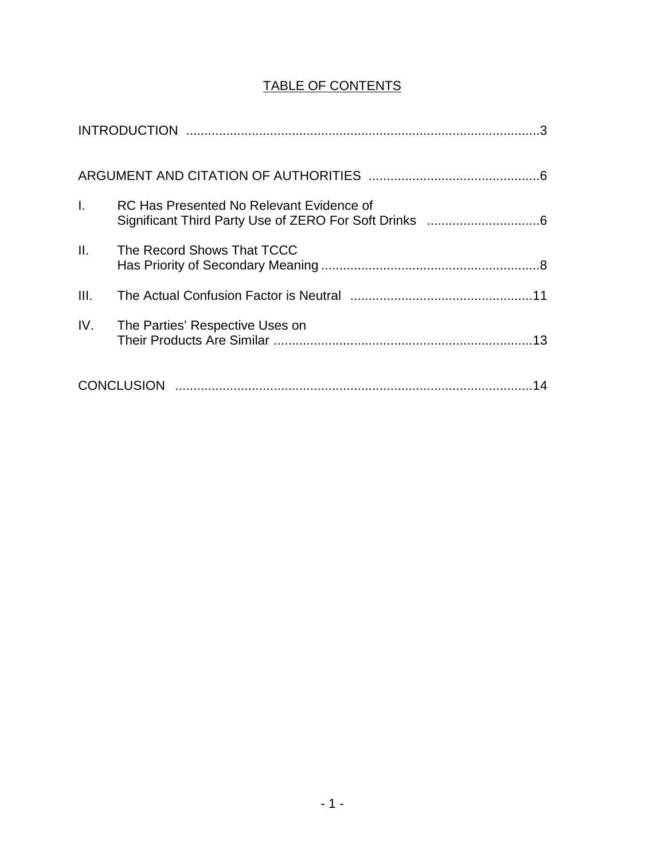## TABLE OF CONTENTS

| $\mathbf{L}$    | RC Has Presented No Relevant Evidence of |
|-----------------|------------------------------------------|
| $\mathbf{II}$ . | The Record Shows That TCCC               |
| III.            |                                          |
| IV.             | The Parties' Respective Uses on          |
|                 | 14                                       |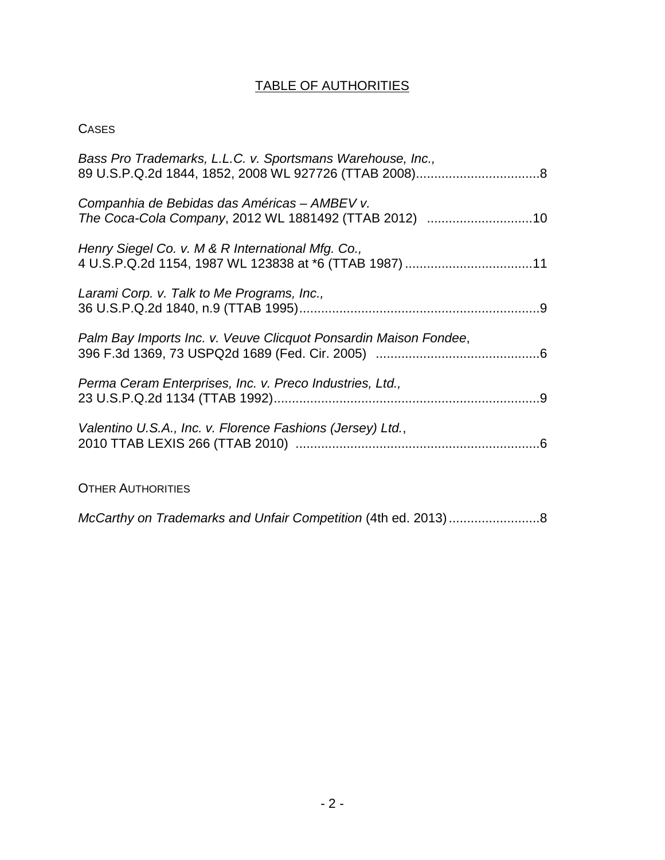# TABLE OF AUTHORITIES

## **CASES**

| Bass Pro Trademarks, L.L.C. v. Sportsmans Warehouse, Inc.,                                                  |
|-------------------------------------------------------------------------------------------------------------|
| Companhia de Bebidas das Américas – AMBEV v.<br>The Coca-Cola Company, 2012 WL 1881492 (TTAB 2012) 10       |
| Henry Siegel Co. v. M & R International Mfg. Co.,<br>4 U.S.P.Q.2d 1154, 1987 WL 123838 at *6 (TTAB 1987) 11 |
| Larami Corp. v. Talk to Me Programs, Inc.,                                                                  |
| Palm Bay Imports Inc. v. Veuve Clicquot Ponsardin Maison Fondee,                                            |
| Perma Ceram Enterprises, Inc. v. Preco Industries, Ltd.,                                                    |
| Valentino U.S.A., Inc. v. Florence Fashions (Jersey) Ltd.,                                                  |
| <b>OTHER AUTHORITIES</b>                                                                                    |

McCarthy on Trademarks and Unfair Competition (4th ed. 2013).........................8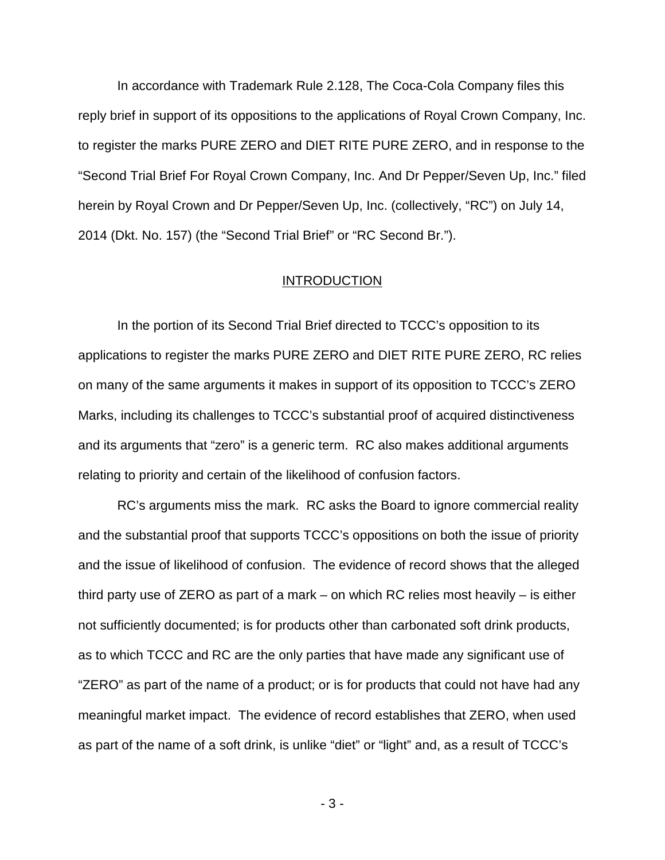In accordance with Trademark Rule 2.128, The Coca-Cola Company files this reply brief in support of its oppositions to the applications of Royal Crown Company, Inc. to register the marks PURE ZERO and DIET RITE PURE ZERO, and in response to the "Second Trial Brief For Royal Crown Company, Inc. And Dr Pepper/Seven Up, Inc." filed herein by Royal Crown and Dr Pepper/Seven Up, Inc. (collectively, "RC") on July 14, 2014 (Dkt. No. 157) (the "Second Trial Brief" or "RC Second Br.").

#### **INTRODUCTION**

In the portion of its Second Trial Brief directed to TCCC's opposition to its applications to register the marks PURE ZERO and DIET RITE PURE ZERO, RC relies on many of the same arguments it makes in support of its opposition to TCCC's ZERO Marks, including its challenges to TCCC's substantial proof of acquired distinctiveness and its arguments that "zero" is a generic term. RC also makes additional arguments relating to priority and certain of the likelihood of confusion factors.

RC's arguments miss the mark. RC asks the Board to ignore commercial reality and the substantial proof that supports TCCC's oppositions on both the issue of priority and the issue of likelihood of confusion. The evidence of record shows that the alleged third party use of ZERO as part of a mark – on which RC relies most heavily – is either not sufficiently documented; is for products other than carbonated soft drink products, as to which TCCC and RC are the only parties that have made any significant use of "ZERO" as part of the name of a product; or is for products that could not have had any meaningful market impact. The evidence of record establishes that ZERO, when used as part of the name of a soft drink, is unlike "diet" or "light" and, as a result of TCCC's

- 3 -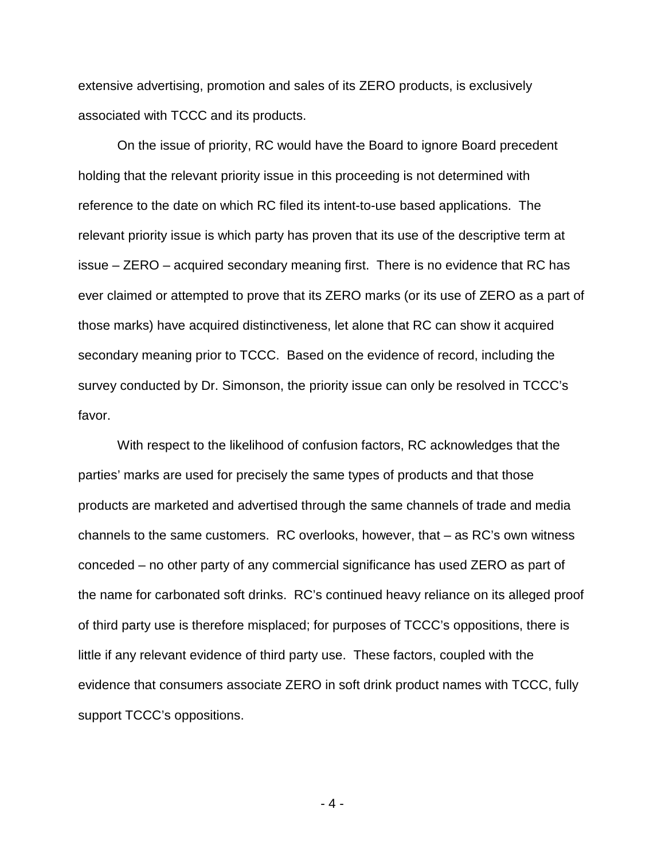extensive advertising, promotion and sales of its ZERO products, is exclusively associated with TCCC and its products.

On the issue of priority, RC would have the Board to ignore Board precedent holding that the relevant priority issue in this proceeding is not determined with reference to the date on which RC filed its intent-to-use based applications. The relevant priority issue is which party has proven that its use of the descriptive term at issue – ZERO – acquired secondary meaning first. There is no evidence that RC has ever claimed or attempted to prove that its ZERO marks (or its use of ZERO as a part of those marks) have acquired distinctiveness, let alone that RC can show it acquired secondary meaning prior to TCCC. Based on the evidence of record, including the survey conducted by Dr. Simonson, the priority issue can only be resolved in TCCC's favor.

With respect to the likelihood of confusion factors, RC acknowledges that the parties' marks are used for precisely the same types of products and that those products are marketed and advertised through the same channels of trade and media channels to the same customers. RC overlooks, however, that – as RC's own witness conceded – no other party of any commercial significance has used ZERO as part of the name for carbonated soft drinks. RC's continued heavy reliance on its alleged proof of third party use is therefore misplaced; for purposes of TCCC's oppositions, there is little if any relevant evidence of third party use. These factors, coupled with the evidence that consumers associate ZERO in soft drink product names with TCCC, fully support TCCC's oppositions.

- 4 -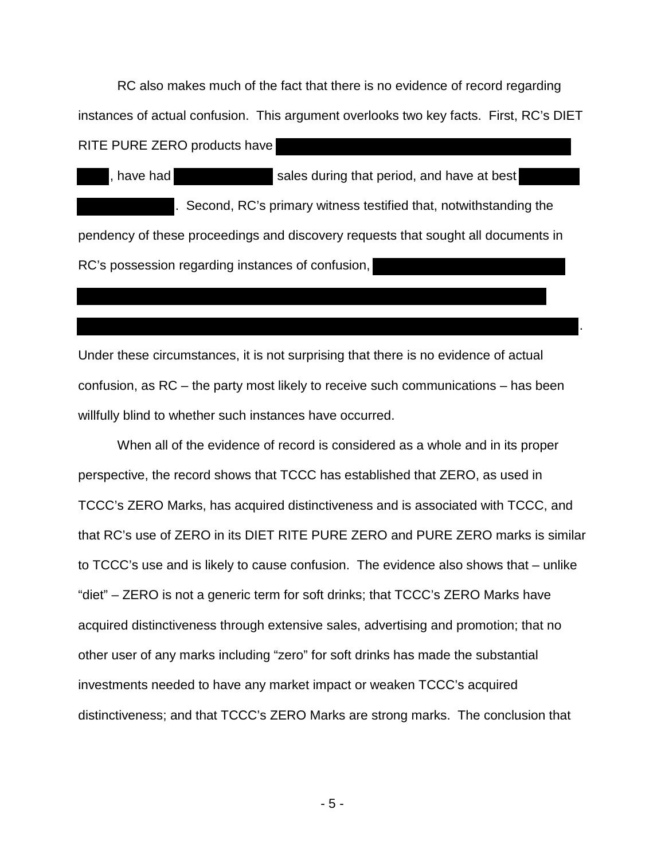RC also makes much of the fact that there is no evidence of record regarding instances of actual confusion. This argument overlooks two key facts. First, RC's DIET RITE PURE ZERO products have

, have had sales during that period, and have at best . Second, RC's primary witness testified that, notwithstanding the pendency of these proceedings and discovery requests that sought all documents in RC's possession regarding instances of confusion,

Under these circumstances, it is not surprising that there is no evidence of actual confusion, as RC – the party most likely to receive such communications – has been willfully blind to whether such instances have occurred.

.

When all of the evidence of record is considered as a whole and in its proper perspective, the record shows that TCCC has established that ZERO, as used in TCCC's ZERO Marks, has acquired distinctiveness and is associated with TCCC, and that RC's use of ZERO in its DIET RITE PURE ZERO and PURE ZERO marks is similar to TCCC's use and is likely to cause confusion. The evidence also shows that – unlike "diet" – ZERO is not a generic term for soft drinks; that TCCC's ZERO Marks have acquired distinctiveness through extensive sales, advertising and promotion; that no other user of any marks including "zero" for soft drinks has made the substantial investments needed to have any market impact or weaken TCCC's acquired distinctiveness; and that TCCC's ZERO Marks are strong marks. The conclusion that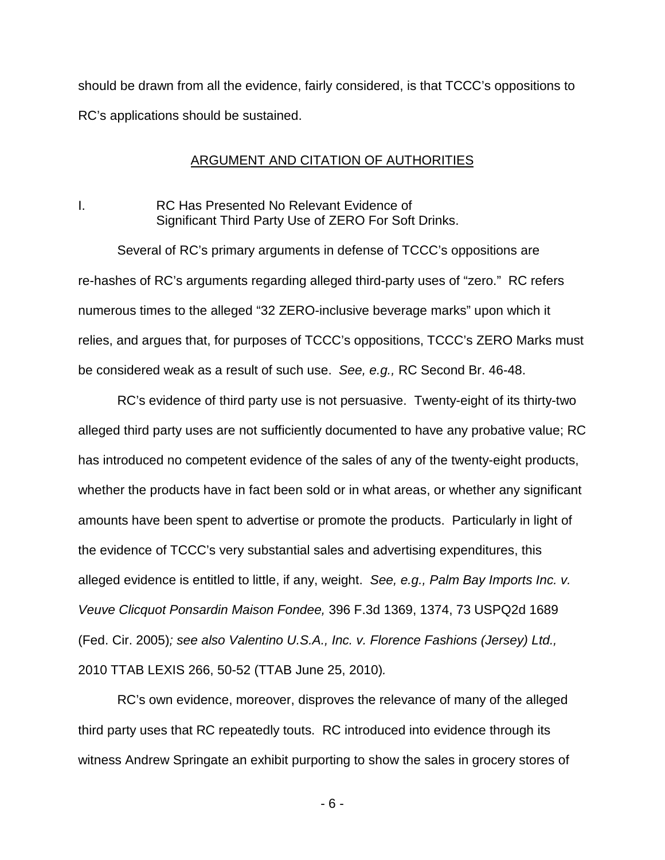should be drawn from all the evidence, fairly considered, is that TCCC's oppositions to RC's applications should be sustained.

#### ARGUMENT AND CITATION OF AUTHORITIES

## I. RC Has Presented No Relevant Evidence of Significant Third Party Use of ZERO For Soft Drinks.

Several of RC's primary arguments in defense of TCCC's oppositions are re-hashes of RC's arguments regarding alleged third-party uses of "zero." RC refers numerous times to the alleged "32 ZERO-inclusive beverage marks" upon which it relies, and argues that, for purposes of TCCC's oppositions, TCCC's ZERO Marks must be considered weak as a result of such use. See, e.g., RC Second Br. 46-48.

RC's evidence of third party use is not persuasive. Twenty-eight of its thirty-two alleged third party uses are not sufficiently documented to have any probative value; RC has introduced no competent evidence of the sales of any of the twenty-eight products, whether the products have in fact been sold or in what areas, or whether any significant amounts have been spent to advertise or promote the products. Particularly in light of the evidence of TCCC's very substantial sales and advertising expenditures, this alleged evidence is entitled to little, if any, weight. See, e.g., Palm Bay Imports Inc. v. Veuve Clicquot Ponsardin Maison Fondee, 396 F.3d 1369, 1374, 73 USPQ2d 1689 (Fed. Cir. 2005); see also Valentino U.S.A., Inc. v. Florence Fashions (Jersey) Ltd., 2010 TTAB LEXIS 266, 50-52 (TTAB June 25, 2010).

RC's own evidence, moreover, disproves the relevance of many of the alleged third party uses that RC repeatedly touts. RC introduced into evidence through its witness Andrew Springate an exhibit purporting to show the sales in grocery stores of

- 6 -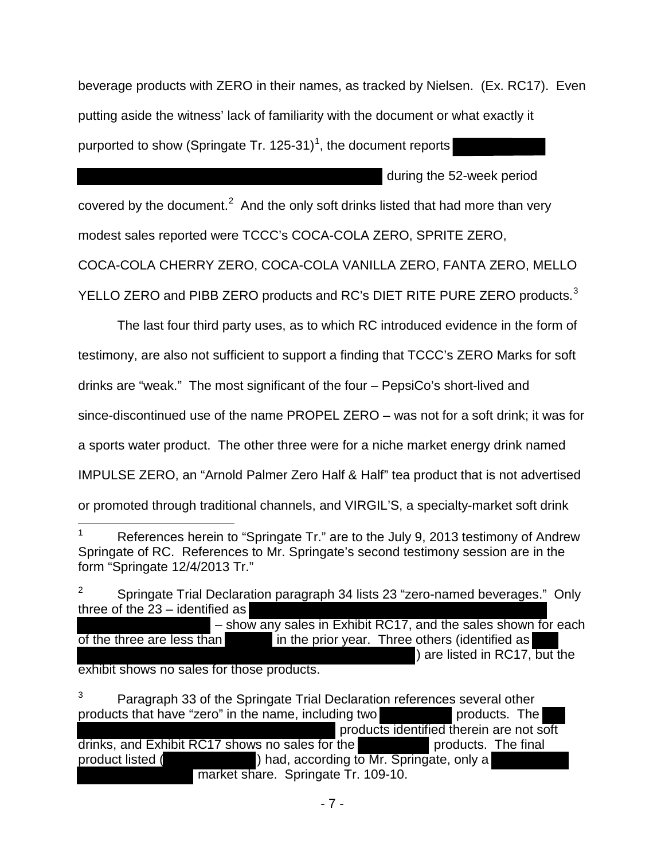beverage products with ZERO in their names, as tracked by Nielsen. (Ex. RC17). Even putting aside the witness' lack of familiarity with the document or what exactly it purported to show (Springate Tr. [1](#page-8-0)25-31)<sup>1</sup>, the document reports

during the 52-week period

covered by the document.<sup>[2](#page-8-1)</sup> And the only soft drinks listed that had more than very

modest sales reported were TCCC's COCA-COLA ZERO, SPRITE ZERO,

COCA-COLA CHERRY ZERO, COCA-COLA VANILLA ZERO, FANTA ZERO, MELLO

YELLO ZERO and PIBB ZERO products and RC's DIET RITE PURE ZERO products. $3$ 

The last four third party uses, as to which RC introduced evidence in the form of

testimony, are also not sufficient to support a finding that TCCC's ZERO Marks for soft

drinks are "weak." The most significant of the four – PepsiCo's short-lived and

since-discontinued use of the name PROPEL ZERO – was not for a soft drink; it was for

a sports water product. The other three were for a niche market energy drink named

IMPULSE ZERO, an "Arnold Palmer Zero Half & Half" tea product that is not advertised

or promoted through traditional channels, and VIRGIL'S, a specialty-market soft drink

<span id="page-8-1"></span>2 Springate Trial Declaration paragraph 34 lists 23 "zero-named beverages." Only three of the 23 – identified as – show any sales in Exhibit RC17, and the sales shown for each

of the three are less than in the prior year. Three others (identified as ) are listed in RC17, but the exhibit shows no sales for those products.

<span id="page-8-2"></span>3 Paragraph 33 of the Springate Trial Declaration references several other products that have "zero" in the name, including two products. The products identified therein are not soft drinks, and Exhibit RC17 shows no sales for the products. The final product listed ( ) had, according to Mr. Springate, only a market share. Springate Tr. 109-10.

<span id="page-8-0"></span><sup>1</sup> References herein to "Springate Tr." are to the July 9, 2013 testimony of Andrew Springate of RC. References to Mr. Springate's second testimony session are in the form "Springate 12/4/2013 Tr."  $\overline{a}$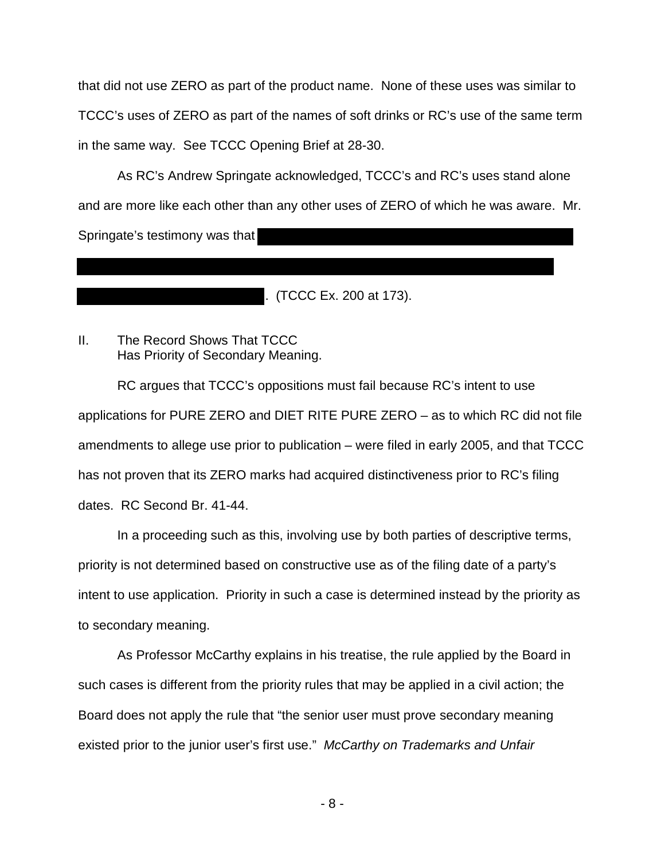that did not use ZERO as part of the product name. None of these uses was similar to TCCC's uses of ZERO as part of the names of soft drinks or RC's use of the same term in the same way. See TCCC Opening Brief at 28-30.

As RC's Andrew Springate acknowledged, TCCC's and RC's uses stand alone and are more like each other than any other uses of ZERO of which he was aware. Mr. Springate's testimony was that

. (TCCC Ex. 200 at 173).

## II. The Record Shows That TCCC Has Priority of Secondary Meaning.

RC argues that TCCC's oppositions must fail because RC's intent to use applications for PURE ZERO and DIET RITE PURE ZERO – as to which RC did not file amendments to allege use prior to publication – were filed in early 2005, and that TCCC has not proven that its ZERO marks had acquired distinctiveness prior to RC's filing dates. RC Second Br. 41-44.

In a proceeding such as this, involving use by both parties of descriptive terms, priority is not determined based on constructive use as of the filing date of a party's intent to use application. Priority in such a case is determined instead by the priority as to secondary meaning.

As Professor McCarthy explains in his treatise, the rule applied by the Board in such cases is different from the priority rules that may be applied in a civil action; the Board does not apply the rule that "the senior user must prove secondary meaning existed prior to the junior user's first use." McCarthy on Trademarks and Unfair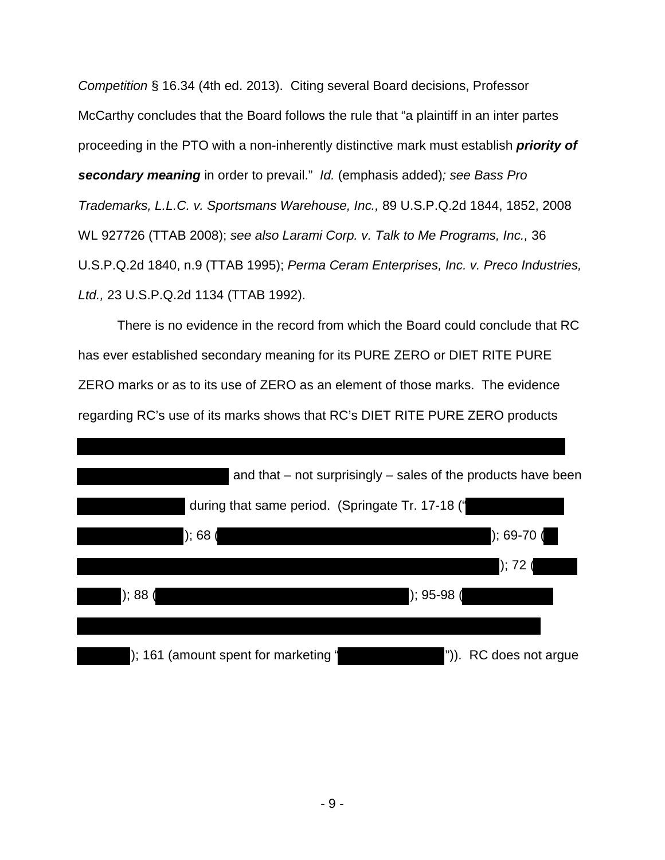Competition § 16.34 (4th ed. 2013). Citing several Board decisions, Professor McCarthy concludes that the Board follows the rule that "a plaintiff in an inter partes proceeding in the PTO with a non-inherently distinctive mark must establish **priority of secondary meaning** in order to prevail." Id. (emphasis added); see Bass Pro Trademarks, L.L.C. v. Sportsmans Warehouse, Inc., 89 U.S.P.Q.2d 1844, 1852, 2008 WL 927726 (TTAB 2008); see also Larami Corp. v. Talk to Me Programs, Inc., 36 U.S.P.Q.2d 1840, n.9 (TTAB 1995); Perma Ceram Enterprises, Inc. v. Preco Industries, Ltd., 23 U.S.P.Q.2d 1134 (TTAB 1992).

There is no evidence in the record from which the Board could conclude that RC has ever established secondary meaning for its PURE ZERO or DIET RITE PURE ZERO marks or as to its use of ZERO as an element of those marks. The evidence regarding RC's use of its marks shows that RC's DIET RITE PURE ZERO products

|                                                  | and that – not surprisingly – sales of the products have been |
|--------------------------------------------------|---------------------------------------------------------------|
| during that same period. (Springate Tr. 17-18 (' |                                                               |
| ); 68(                                           | $); 69-70 ($                                                  |
|                                                  | ); 72 (                                                       |
| $\frac{1}{6}$ ; 88 (                             | $)$ ; 95-98 (                                                 |
|                                                  |                                                               |
| ); 161 (amount spent for marketing '             | ")). RC does not argue                                        |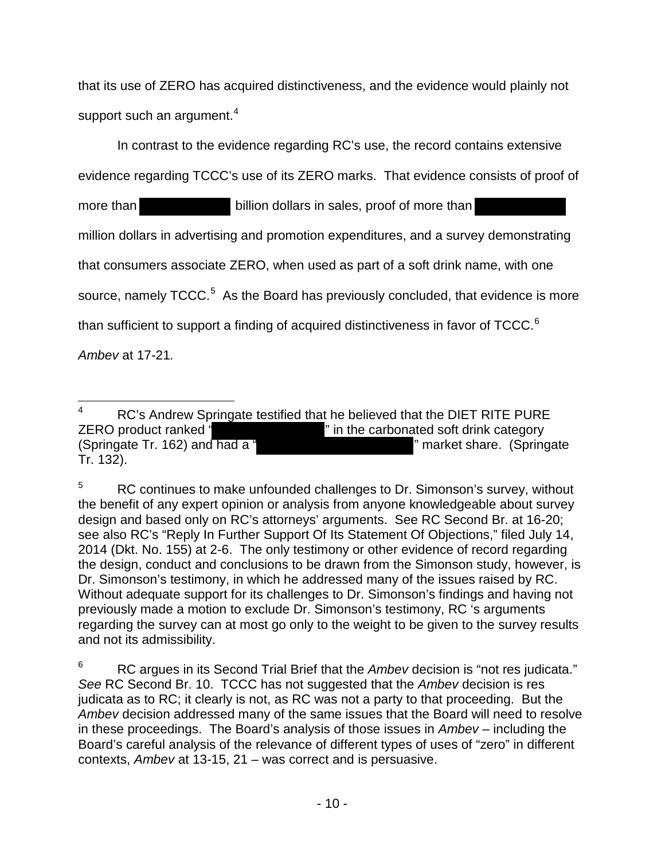that its use of ZERO has acquired distinctiveness, and the evidence would plainly not support such an argument. $4$ 

In contrast to the evidence regarding RC's use, the record contains extensive

evidence regarding TCCC's use of its ZERO marks. That evidence consists of proof of

more than billion dollars in sales, proof of more than million dollars in advertising and promotion expenditures, and a survey demonstrating that consumers associate ZERO, when used as part of a soft drink name, with one source, namely  $TCCC.^5$  $TCCC.^5$  As the Board has previously concluded, that evidence is more than sufficient to support a finding of acquired distinctiveness in favor of TCCC.<sup>[6](#page-11-2)</sup>

Ambev at 17-21.

<span id="page-11-1"></span>5 RC continues to make unfounded challenges to Dr. Simonson's survey, without the benefit of any expert opinion or analysis from anyone knowledgeable about survey design and based only on RC's attorneys' arguments. See RC Second Br. at 16-20; see also RC's "Reply In Further Support Of Its Statement Of Objections," filed July 14, 2014 (Dkt. No. 155) at 2-6. The only testimony or other evidence of record regarding the design, conduct and conclusions to be drawn from the Simonson study, however, is Dr. Simonson's testimony, in which he addressed many of the issues raised by RC. Without adequate support for its challenges to Dr. Simonson's findings and having not previously made a motion to exclude Dr. Simonson's testimony, RC 's arguments regarding the survey can at most go only to the weight to be given to the survey results and not its admissibility.

<span id="page-11-2"></span>6 RC argues in its Second Trial Brief that the Ambey decision is "not res judicata." See RC Second Br. 10. TCCC has not suggested that the Ambey decision is res judicata as to RC; it clearly is not, as RC was not a party to that proceeding. But the Ambev decision addressed many of the same issues that the Board will need to resolve in these proceedings. The Board's analysis of those issues in Ambev – including the Board's careful analysis of the relevance of different types of uses of "zero" in different contexts, Ambev at 13-15, 21 – was correct and is persuasive.

<span id="page-11-0"></span><sup>4</sup> RC's Andrew Springate testified that he believed that the DIET RITE PURE ZERO product ranked " The carbonated soft drink category (Springate Tr. 162) and had a " " market share. (Springate Tr. 132). -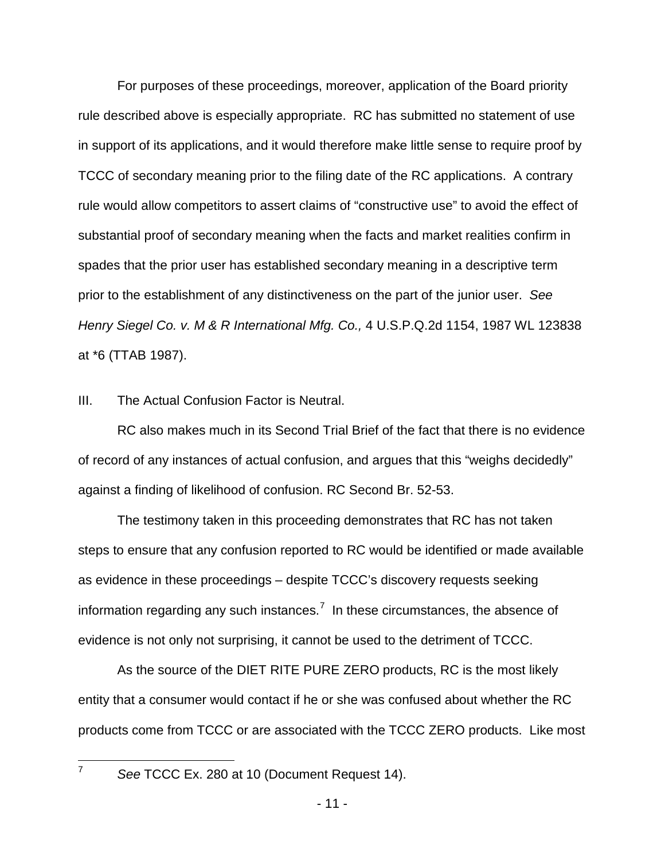For purposes of these proceedings, moreover, application of the Board priority rule described above is especially appropriate. RC has submitted no statement of use in support of its applications, and it would therefore make little sense to require proof by TCCC of secondary meaning prior to the filing date of the RC applications. A contrary rule would allow competitors to assert claims of "constructive use" to avoid the effect of substantial proof of secondary meaning when the facts and market realities confirm in spades that the prior user has established secondary meaning in a descriptive term prior to the establishment of any distinctiveness on the part of the junior user. See Henry Siegel Co. v. M & R International Mfg. Co., 4 U.S.P.Q.2d 1154, 1987 WL 123838 at \*6 (TTAB 1987).

III. The Actual Confusion Factor is Neutral.

RC also makes much in its Second Trial Brief of the fact that there is no evidence of record of any instances of actual confusion, and argues that this "weighs decidedly" against a finding of likelihood of confusion. RC Second Br. 52-53.

The testimony taken in this proceeding demonstrates that RC has not taken steps to ensure that any confusion reported to RC would be identified or made available as evidence in these proceedings – despite TCCC's discovery requests seeking information regarding any such instances.<sup>[7](#page-12-0)</sup> In these circumstances, the absence of evidence is not only not surprising, it cannot be used to the detriment of TCCC.

As the source of the DIET RITE PURE ZERO products, RC is the most likely entity that a consumer would contact if he or she was confused about whether the RC products come from TCCC or are associated with the TCCC ZERO products. Like most

<span id="page-12-0"></span>-<br>7

See TCCC Ex. 280 at 10 (Document Request 14).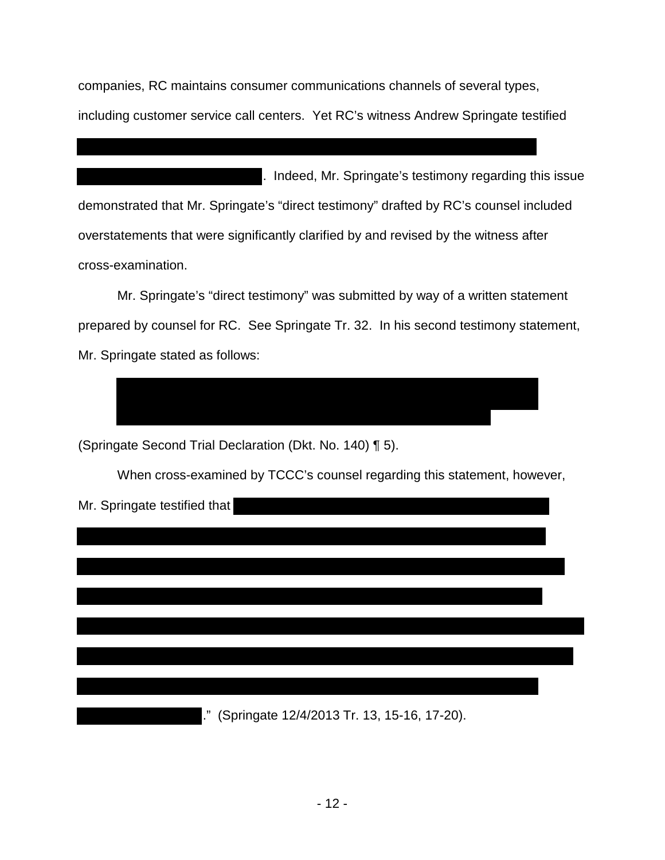companies, RC maintains consumer communications channels of several types, including customer service call centers. Yet RC's witness Andrew Springate testified

. Indeed, Mr. Springate's testimony regarding this issue demonstrated that Mr. Springate's "direct testimony" drafted by RC's counsel included overstatements that were significantly clarified by and revised by the witness after cross-examination.

Mr. Springate's "direct testimony" was submitted by way of a written statement prepared by counsel for RC. See Springate Tr. 32. In his second testimony statement, Mr. Springate stated as follows:



(Springate Second Trial Declaration (Dkt. No. 140) ¶ 5).

When cross-examined by TCCC's counsel regarding this statement, however,

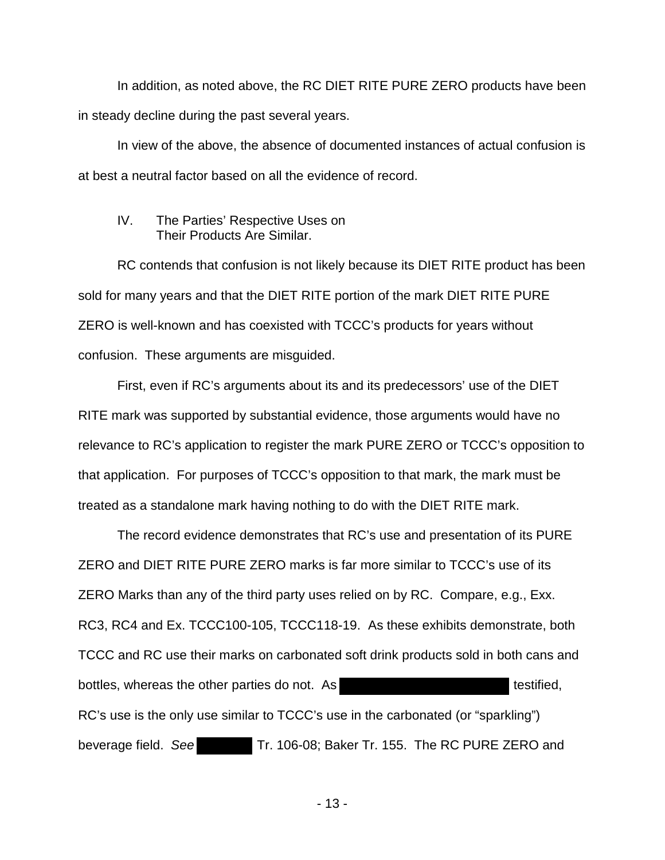In addition, as noted above, the RC DIET RITE PURE ZERO products have been in steady decline during the past several years.

In view of the above, the absence of documented instances of actual confusion is at best a neutral factor based on all the evidence of record.

#### IV. The Parties' Respective Uses on Their Products Are Similar.

RC contends that confusion is not likely because its DIET RITE product has been sold for many years and that the DIET RITE portion of the mark DIET RITE PURE ZERO is well-known and has coexisted with TCCC's products for years without confusion. These arguments are misguided.

First, even if RC's arguments about its and its predecessors' use of the DIET RITE mark was supported by substantial evidence, those arguments would have no relevance to RC's application to register the mark PURE ZERO or TCCC's opposition to that application. For purposes of TCCC's opposition to that mark, the mark must be treated as a standalone mark having nothing to do with the DIET RITE mark.

The record evidence demonstrates that RC's use and presentation of its PURE ZERO and DIET RITE PURE ZERO marks is far more similar to TCCC's use of its ZERO Marks than any of the third party uses relied on by RC. Compare, e.g., Exx. RC3, RC4 and Ex. TCCC100-105, TCCC118-19. As these exhibits demonstrate, both TCCC and RC use their marks on carbonated soft drink products sold in both cans and bottles, whereas the other parties do not. As the state of testified, RC's use is the only use similar to TCCC's use in the carbonated (or "sparkling") beverage field. See Tr. 106-08; Baker Tr. 155. The RC PURE ZERO and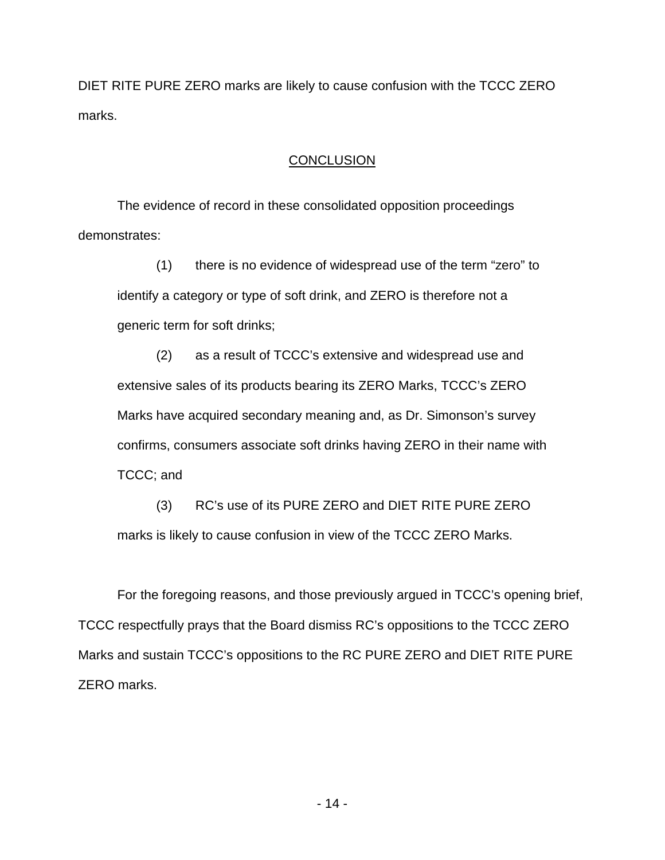DIET RITE PURE ZERO marks are likely to cause confusion with the TCCC ZERO marks.

## **CONCLUSION**

The evidence of record in these consolidated opposition proceedings demonstrates:

(1) there is no evidence of widespread use of the term "zero" to identify a category or type of soft drink, and ZERO is therefore not a generic term for soft drinks;

(2) as a result of TCCC's extensive and widespread use and extensive sales of its products bearing its ZERO Marks, TCCC's ZERO Marks have acquired secondary meaning and, as Dr. Simonson's survey confirms, consumers associate soft drinks having ZERO in their name with TCCC; and

(3) RC's use of its PURE ZERO and DIET RITE PURE ZERO marks is likely to cause confusion in view of the TCCC ZERO Marks.

For the foregoing reasons, and those previously argued in TCCC's opening brief, TCCC respectfully prays that the Board dismiss RC's oppositions to the TCCC ZERO Marks and sustain TCCC's oppositions to the RC PURE ZERO and DIET RITE PURE ZERO marks.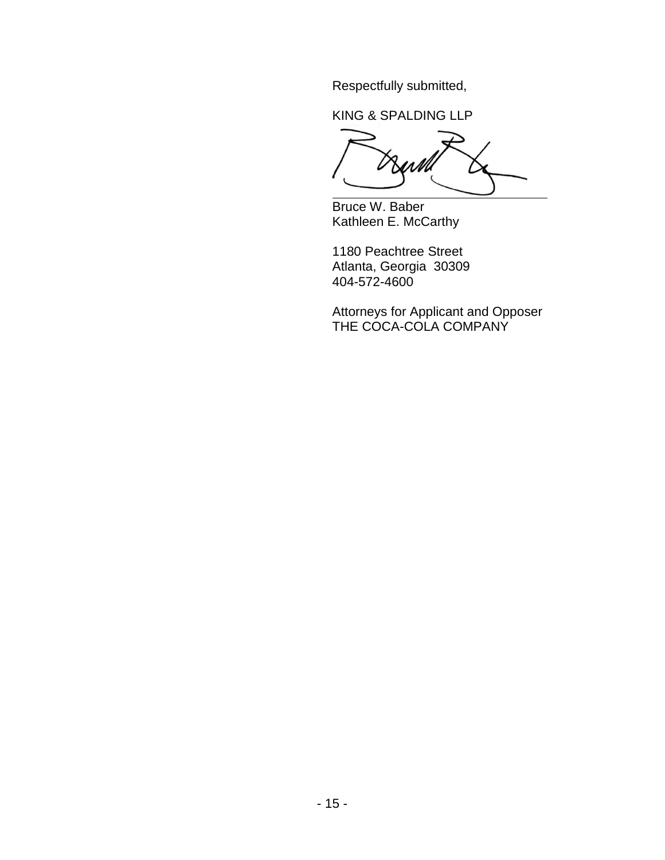Respectfully submitted,

KING & SPALDING LLP

W  $\overline{a}$ 

Bruce W. Baber Kathleen E. McCarthy

1180 Peachtree Street Atlanta, Georgia 30309 404-572-4600

Attorneys for Applicant and Opposer THE COCA-COLA COMPANY